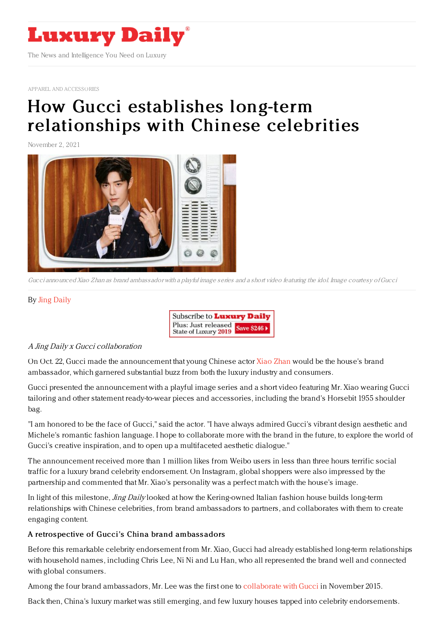

APPAREL AND [ACCESSORIES](https://www.luxurydaily.com/category/sectors/apparel-and-accessories/)

# How Gucci establishes long-term [relationships](https://www.luxurydaily.com/how-gucci-establishes-long-term-relationships-with-chinese-celebrities/) with Chinese celebrities

November 2, 2021



Gucci announced Xiao Zhan as brand ambassador with <sup>a</sup> playful image series and <sup>a</sup> short video featuring the idol. Image courtesy ofGucci

### By Jing [Daily](https://jingdaily.com/author/admin/)

| Subscribe to <b>Luxury Daily</b>                         |  |
|----------------------------------------------------------|--|
| Plus: Just released<br>State of Luxury 2019 Save \$246 > |  |

### A Jing Daily <sup>x</sup> Gucci collaboration

On Oct. 22, Gucci made the announcement that young Chinese actor Xiao [Zhan](https://jingdaily.com/the-dark-side-of-chinas-idol-economies/) would be the house's brand ambassador, which garnered substantial buzz from both the luxury industry and consumers.

Gucci presented the announcement with a playful image series and a short video featuring Mr. Xiao wearing Gucci tailoring and other statement ready-to-wear pieces and accessories, including the brand's Horsebit 1955 shoulder bag.

"I am honored to be the face of Gucci," said the actor. "I have always admired Gucci's vibrant design aesthetic and Michele's romantic fashion language. I hope to collaborate more with the brand in the future, to explore the world of Gucci's creative inspiration, and to open up a multifaceted aesthetic dialogue."

The announcement received more than 1 million likes from Weibo users in less than three hours terrific social traffic for a luxury brand celebrity endorsement. On Instagram, global shoppers were also impressed by the partnership and commented that Mr. Xiao's personality was a perfect match with the house's image.

In light of this milestone, *Jing Daily* looked at how the Kering-owned Italian fashion house builds long-term relationships with Chinese celebrities, from brand ambassadors to partners, and collaborates with them to create engaging content.

### A retros pective of Gucci's China brand ambass adors

Before this remarkable celebrity endorsement from Mr. Xiao, Gucci had already established long-term relationships with household names, including Chris Lee, Ni Ni and Lu Han, who all represented the brand well and connected with global consumers.

Among the four brand ambassadors, Mr. Lee was the first one to [collaborate](https://www.gucci.com/us/en/st/stories/people-events/article/cruise_2017_chris_lee_wearing_gucci) with Gucci in November 2015.

Back then, China's luxury market was still emerging, and few luxury houses tapped into celebrity endorsements.